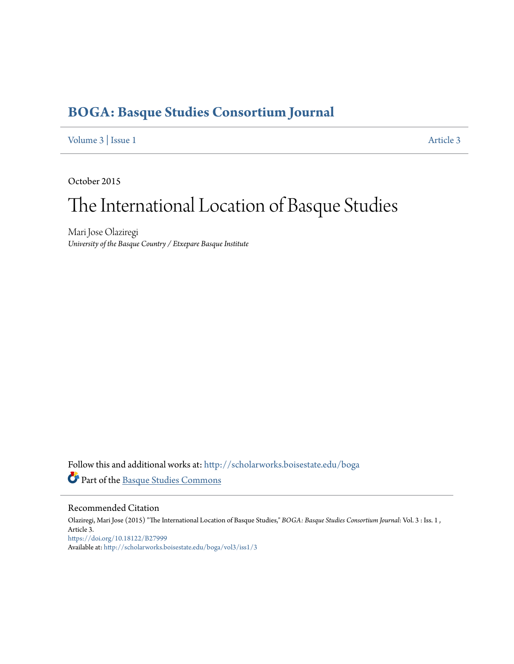# **[BOGA: Basque Studies Consortium Journal](http://scholarworks.boisestate.edu/boga?utm_source=scholarworks.boisestate.edu%2Fboga%2Fvol3%2Fiss1%2F3&utm_medium=PDF&utm_campaign=PDFCoverPages)**

[Volume 3](http://scholarworks.boisestate.edu/boga/vol3?utm_source=scholarworks.boisestate.edu%2Fboga%2Fvol3%2Fiss1%2F3&utm_medium=PDF&utm_campaign=PDFCoverPages) | [Issue 1](http://scholarworks.boisestate.edu/boga/vol3/iss1?utm_source=scholarworks.boisestate.edu%2Fboga%2Fvol3%2Fiss1%2F3&utm_medium=PDF&utm_campaign=PDFCoverPages) [Article 3](http://scholarworks.boisestate.edu/boga/vol3/iss1/3?utm_source=scholarworks.boisestate.edu%2Fboga%2Fvol3%2Fiss1%2F3&utm_medium=PDF&utm_campaign=PDFCoverPages)

October 2015

# The International Location of Basque Studies

Mari Jose Olaziregi *University of the Basque Country / Etxepare Basque Institute*

Follow this and additional works at: [http://scholarworks.boisestate.edu/boga](http://scholarworks.boisestate.edu/boga?utm_source=scholarworks.boisestate.edu%2Fboga%2Fvol3%2Fiss1%2F3&utm_medium=PDF&utm_campaign=PDFCoverPages) Part of the [Basque Studies Commons](http://network.bepress.com/hgg/discipline/1244?utm_source=scholarworks.boisestate.edu%2Fboga%2Fvol3%2Fiss1%2F3&utm_medium=PDF&utm_campaign=PDFCoverPages)

## Recommended Citation

Olaziregi, Mari Jose (2015) "The International Location of Basque Studies," *BOGA: Basque Studies Consortium Journal*: Vol. 3 : Iss. 1 , Article 3. <https://doi.org/10.18122/B27999> Available at: [http://scholarworks.boisestate.edu/boga/vol3/iss1/3](http://scholarworks.boisestate.edu/boga/vol3/iss1/3?utm_source=scholarworks.boisestate.edu%2Fboga%2Fvol3%2Fiss1%2F3&utm_medium=PDF&utm_campaign=PDFCoverPages)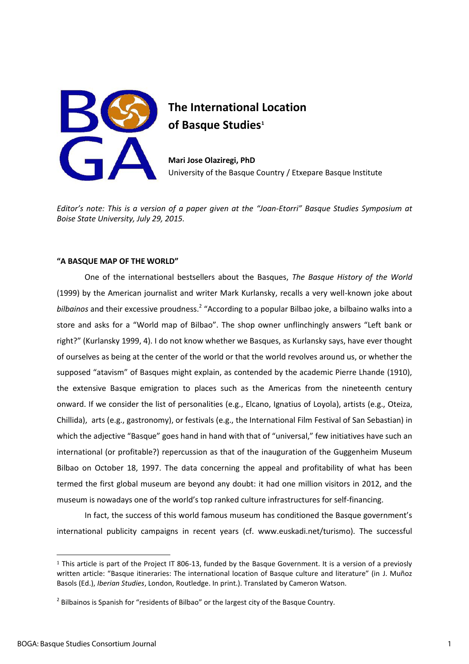

## **The International Location of Basque Studies<sup>1</sup>**

**Mari Jose Olaziregi, PhD**  University of the Basque Country / Etxepare Basque Institute

*Editor's note: This is a version of a paper given at the "Joan-Etorri" Basque Studies Symposium at Boise State University, July 29, 2015.* 

### **"A BASQUE MAP OF THE WORLD"**

One of the international bestsellers about the Basques, *The Basque History of the World* (1999) by the American journalist and writer Mark Kurlansky, recalls a very well-known joke about bilbainos and their excessive proudness.<sup>2</sup> "According to a popular Bilbao joke, a bilbaino walks into a store and asks for a "World map of Bilbao". The shop owner unflinchingly answers "Left bank or right?" (Kurlansky 1999, 4). I do not know whether we Basques, as Kurlansky says, have ever thought of ourselves as being at the center of the world or that the world revolves around us, or whether the supposed "atavism" of Basques might explain, as contended by the academic Pierre Lhande (1910), the extensive Basque emigration to places such as the Americas from the nineteenth century onward. If we consider the list of personalities (e.g., Elcano, Ignatius of Loyola), artists (e.g., Oteiza, Chillida), arts (e.g., gastronomy), or festivals (e.g., the International Film Festival of San Sebastian) in which the adjective "Basque" goes hand in hand with that of "universal," few initiatives have such an international (or profitable?) repercussion as that of the inauguration of the Guggenheim Museum Bilbao on October 18, 1997. The data concerning the appeal and profitability of what has been termed the first global museum are beyond any doubt: it had one million visitors in 2012, and the museum is nowadays one of the world's top ranked culture infrastructures for self-financing.

In fact, the success of this world famous museum has conditioned the Basque government's international publicity campaigns in recent years (cf. www.euskadi.net/turismo). The successful

 $\overline{\phantom{a}}$ 

<sup>&</sup>lt;sup>1</sup> This article is part of the Project IT 806-13, funded by the Basque Government. It is a version of a previosly written article: "Basque itineraries: The international location of Basque culture and literature" (in J. Muñoz Basols (Ed.), *Iberian Studies*, London, Routledge. In print.). Translated by Cameron Watson.

 $^2$  Bilbainos is Spanish for "residents of Bilbao" or the largest city of the Basque Country.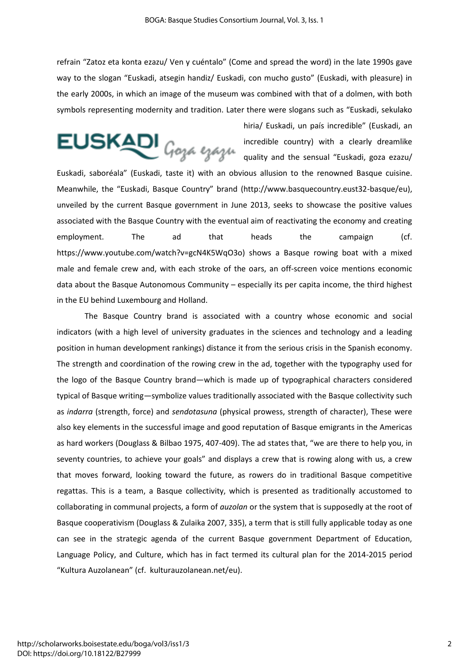refrain "Zatoz eta konta ezazu/ Ven y cuéntalo" (Come and spread the word) in the late 1990s gave way to the slogan "Euskadi, atsegin handiz/ Euskadi, con mucho gusto" (Euskadi, with pleasure) in the early 2000s, in which an image of the museum was combined with that of a dolmen, with both symbols representing modernity and tradition. Later there were slogans such as "Euskadi, sekulako

 $EUSKADI_{Goya}$ 

hiria/ Euskadi, un país incredible" (Euskadi, an incredible country) with a clearly dreamlike quality and the sensual "Euskadi, goza ezazu/

Euskadi, saboréala" (Euskadi, taste it) with an obvious allusion to the renowned Basque cuisine. Meanwhile, the "Euskadi, Basque Country" brand (http://www.basquecountry.eust32-basque/eu), unveiled by the current Basque government in June 2013, seeks to showcase the positive values associated with the Basque Country with the eventual aim of reactivating the economy and creating employment. The ad that heads the campaign (cf. https://www.youtube.com/watch?v=gcN4K5WqO3o) shows a Basque rowing boat with a mixed male and female crew and, with each stroke of the oars, an off-screen voice mentions economic data about the Basque Autonomous Community – especially its per capita income, the third highest in the EU behind Luxembourg and Holland.

The Basque Country brand is associated with a country whose economic and social indicators (with a high level of university graduates in the sciences and technology and a leading position in human development rankings) distance it from the serious crisis in the Spanish economy. The strength and coordination of the rowing crew in the ad, together with the typography used for the logo of the Basque Country brand—which is made up of typographical characters considered typical of Basque writing—symbolize values traditionally associated with the Basque collectivity such as *indarra* (strength, force) and *sendotasuna* (physical prowess, strength of character), These were also key elements in the successful image and good reputation of Basque emigrants in the Americas as hard workers (Douglass & Bilbao 1975, 407-409). The ad states that, "we are there to help you, in seventy countries, to achieve your goals" and displays a crew that is rowing along with us, a crew that moves forward, looking toward the future, as rowers do in traditional Basque competitive regattas. This is a team, a Basque collectivity, which is presented as traditionally accustomed to collaborating in communal projects, a form of *auzolan* or the system that is supposedly at the root of Basque cooperativism (Douglass & Zulaika 2007, 335), a term that is still fully applicable today as one can see in the strategic agenda of the current Basque government Department of Education, Language Policy, and Culture, which has in fact termed its cultural plan for the 2014-2015 period "Kultura Auzolanean" (cf. kulturauzolanean.net/eu).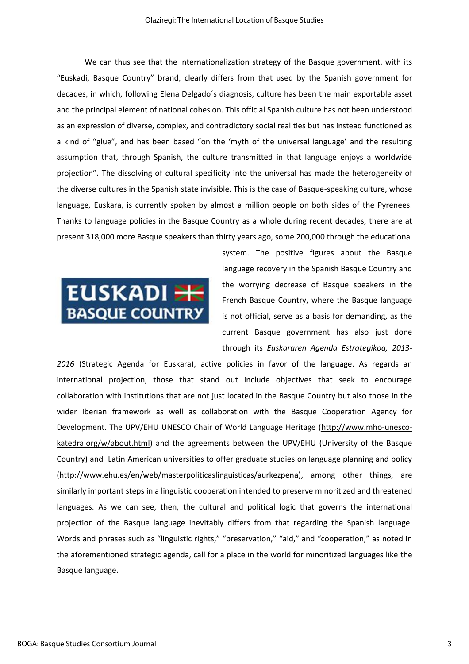We can thus see that the internationalization strategy of the Basque government, with its "Euskadi, Basque Country" brand, clearly differs from that used by the Spanish government for decades, in which, following Elena Delgado´s diagnosis, culture has been the main exportable asset and the principal element of national cohesion. This official Spanish culture has not been understood as an expression of diverse, complex, and contradictory social realities but has instead functioned as a kind of "glue", and has been based "on the 'myth of the universal language' and the resulting assumption that, through Spanish, the culture transmitted in that language enjoys a worldwide projection". The dissolving of cultural specificity into the universal has made the heterogeneity of the diverse cultures in the Spanish state invisible. This is the case of Basque-speaking culture, whose language, Euskara, is currently spoken by almost a million people on both sides of the Pyrenees. Thanks to language policies in the Basque Country as a whole during recent decades, there are at present 318,000 more Basque speakers than thirty years ago, some 200,000 through the educational



system. The positive figures about the Basque language recovery in the Spanish Basque Country and the worrying decrease of Basque speakers in the French Basque Country, where the Basque language is not official, serve as a basis for demanding, as the current Basque government has also just done through its *Euskararen Agenda Estrategikoa, 2013-*

*2016* (Strategic Agenda for Euskara), active policies in favor of the language. As regards an international projection, those that stand out include objectives that seek to encourage collaboration with institutions that are not just located in the Basque Country but also those in the wider Iberian framework as well as collaboration with the Basque Cooperation Agency for Development. The UPV/EHU UNESCO Chair of World Language Heritage [\(http://www.mho-unesco](http://www.mho-unesco-katedra.org/w/about.html)[katedra.org/w/about.html\)](http://www.mho-unesco-katedra.org/w/about.html) and the agreements between the UPV/EHU (University of the Basque Country) and Latin American universities to offer graduate studies on language planning and policy (http://www.ehu.es/en/web/masterpoliticaslinguisticas/aurkezpena), among other things, are similarly important steps in a linguistic cooperation intended to preserve minoritized and threatened languages. As we can see, then, the cultural and political logic that governs the international projection of the Basque language inevitably differs from that regarding the Spanish language. Words and phrases such as "linguistic rights," "preservation," "aid," and "cooperation," as noted in the aforementioned strategic agenda, call for a place in the world for minoritized languages like the Basque language.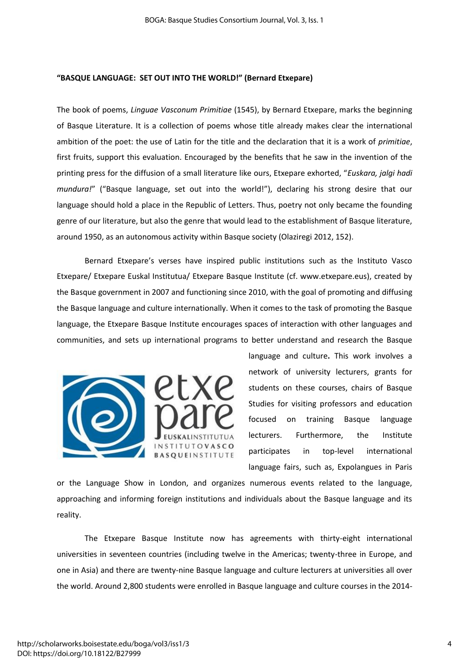### **"BASQUE LANGUAGE: SET OUT INTO THE WORLD!" (Bernard Etxepare)**

The book of poems, *Linguae Vasconum Primitiae* (1545), by Bernard Etxepare, marks the beginning of Basque Literature. It is a collection of poems whose title already makes clear the international ambition of the poet: the use of Latin for the title and the declaration that it is a work of *primitiae*, first fruits, support this evaluation. Encouraged by the benefits that he saw in the invention of the printing press for the diffusion of a small literature like ours, Etxepare exhorted, "*Euskara, jalgi hadi mundura!*" ("Basque language, set out into the world!"), declaring his strong desire that our language should hold a place in the Republic of Letters. Thus, poetry not only became the founding genre of our literature, but also the genre that would lead to the establishment of Basque literature, around 1950, as an autonomous activity within Basque society (Olaziregi 2012, 152).

Bernard Etxepare's verses have inspired public institutions such as the Instituto Vasco Etxepare/ Etxepare Euskal Institutua/ Etxepare Basque Institute (cf. www.etxepare.eus), created by the Basque government in 2007 and functioning since 2010, with the goal of promoting and diffusing the Basque language and culture internationally. When it comes to the task of promoting the Basque language, the Etxepare Basque Institute encourages spaces of interaction with other languages and communities, and sets up international programs to better understand and research the Basque





language and culture**.** This work involves a network of university lecturers, grants for students on these courses, chairs of Basque Studies for visiting professors and education focused on training Basque language lecturers. Furthermore, the Institute participates in top-level international language fairs, such as, Expolangues in Paris

or the Language Show in London, and organizes numerous events related to the language, approaching and informing foreign institutions and individuals about the Basque language and its reality.

The Etxepare Basque Institute now has agreements with thirty-eight international universities in seventeen countries (including twelve in the Americas; twenty-three in Europe, and one in Asia) and there are twenty-nine Basque language and culture lecturers at universities all over the world. Around 2,800 students were enrolled in Basque language and culture courses in the 2014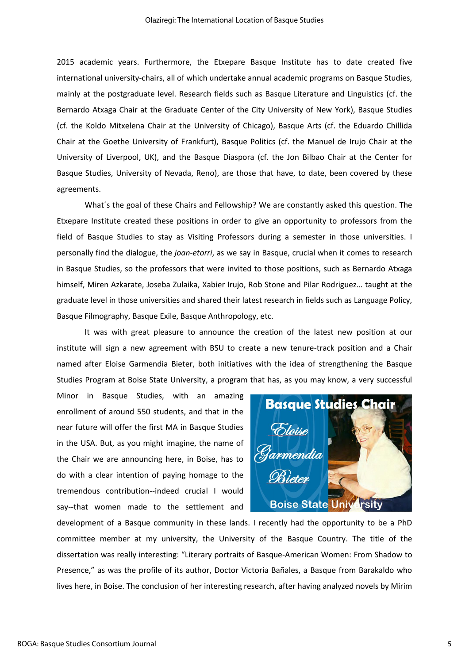2015 academic years. Furthermore, the Etxepare Basque Institute has to date created five international university-chairs, all of which undertake annual academic programs on Basque Studies, mainly at the postgraduate level. Research fields such as Basque Literature and Linguistics (cf. the Bernardo Atxaga Chair at the Graduate Center of the City University of New York), Basque Studies (cf. the Koldo Mitxelena Chair at the University of Chicago), Basque Arts (cf. the Eduardo Chillida Chair at the Goethe University of Frankfurt), Basque Politics (cf. the Manuel de Irujo Chair at the University of Liverpool, UK), and the Basque Diaspora (cf. the Jon Bilbao Chair at the Center for Basque Studies, University of Nevada, Reno), are those that have, to date, been covered by these agreements.

What´s the goal of these Chairs and Fellowship? We are constantly asked this question. The Etxepare Institute created these positions in order to give an opportunity to professors from the field of Basque Studies to stay as Visiting Professors during a semester in those universities. I personally find the dialogue, the *joan-etorri*, as we say in Basque, crucial when it comes to research in Basque Studies, so the professors that were invited to those positions, such as Bernardo Atxaga himself, Miren Azkarate, Joseba Zulaika, Xabier Irujo, Rob Stone and Pilar Rodriguez… taught at the graduate level in those universities and shared their latest research in fields such as Language Policy, Basque Filmography, Basque Exile, Basque Anthropology, etc.

It was with great pleasure to announce the creation of the latest new position at our institute will sign a new agreement with BSU to create a new tenure-track position and a Chair named after Eloise Garmendia Bieter, both initiatives with the idea of strengthening the Basque Studies Program at Boise State University, a program that has, as you may know, a very successful

Minor in Basque Studies, with an amazing enrollment of around 550 students, and that in the near future will offer the first MA in Basque Studies in the USA. But, as you might imagine, the name of the Chair we are announcing here, in Boise, has to do with a clear intention of paying homage to the tremendous contribution--indeed crucial I would say--that women made to the settlement and



development of a Basque community in these lands. I recently had the opportunity to be a PhD committee member at my university, the University of the Basque Country. The title of the dissertation was really interesting: "Literary portraits of Basque-American Women: From Shadow to Presence," as was the profile of its author, Doctor Victoria Bañales, a Basque from Barakaldo who lives here, in Boise. The conclusion of her interesting research, after having analyzed novels by Mirim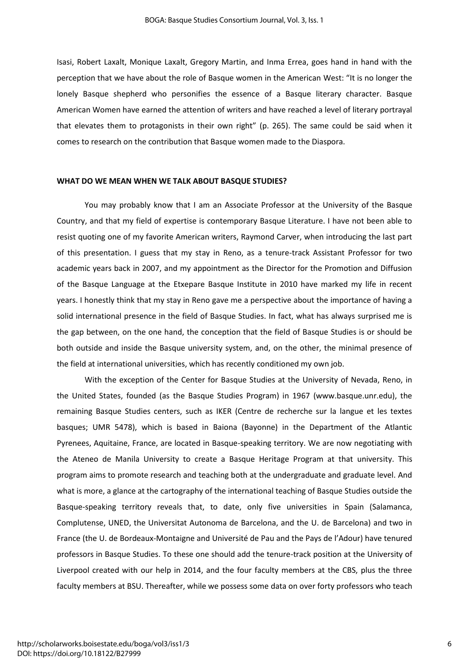Isasi, Robert Laxalt, Monique Laxalt, Gregory Martin, and Inma Errea, goes hand in hand with the perception that we have about the role of Basque women in the American West: "It is no longer the lonely Basque shepherd who personifies the essence of a Basque literary character. Basque American Women have earned the attention of writers and have reached a level of literary portrayal that elevates them to protagonists in their own right" (p. 265). The same could be said when it comes to research on the contribution that Basque women made to the Diaspora.

#### **WHAT DO WE MEAN WHEN WE TALK ABOUT BASQUE STUDIES?**

You may probably know that I am an Associate Professor at the University of the Basque Country, and that my field of expertise is contemporary Basque Literature. I have not been able to resist quoting one of my favorite American writers, Raymond Carver, when introducing the last part of this presentation. I guess that my stay in Reno, as a tenure-track Assistant Professor for two academic years back in 2007, and my appointment as the Director for the Promotion and Diffusion of the Basque Language at the Etxepare Basque Institute in 2010 have marked my life in recent years. I honestly think that my stay in Reno gave me a perspective about the importance of having a solid international presence in the field of Basque Studies. In fact, what has always surprised me is the gap between, on the one hand, the conception that the field of Basque Studies is or should be both outside and inside the Basque university system, and, on the other, the minimal presence of the field at international universities, which has recently conditioned my own job.

With the exception of the Center for Basque Studies at the University of Nevada, Reno, in the United States, founded (as the Basque Studies Program) in 1967 (www.basque.unr.edu), the remaining Basque Studies centers, such as IKER (Centre de recherche sur la langue et les textes basques; UMR 5478), which is based in Baiona (Bayonne) in the Department of the Atlantic Pyrenees, Aquitaine, France, are located in Basque-speaking territory. We are now negotiating with the Ateneo de Manila University to create a Basque Heritage Program at that university. This program aims to promote research and teaching both at the undergraduate and graduate level. And what is more, a glance at the cartography of the international teaching of Basque Studies outside the Basque-speaking territory reveals that, to date, only five universities in Spain (Salamanca, Complutense, UNED, the Universitat Autonoma de Barcelona, and the U. de Barcelona) and two in France (the U. de Bordeaux-Montaigne and Université de Pau and the Pays de l'Adour) have tenured professors in Basque Studies. To these one should add the tenure-track position at the University of Liverpool created with our help in 2014, and the four faculty members at the CBS, plus the three faculty members at BSU. Thereafter, while we possess some data on over forty professors who teach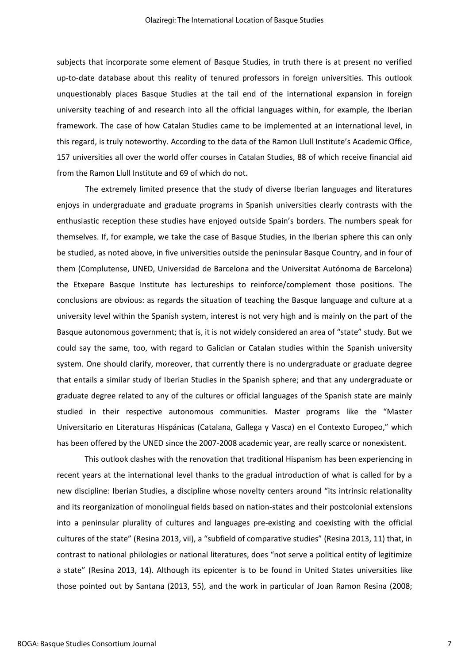subjects that incorporate some element of Basque Studies, in truth there is at present no verified up-to-date database about this reality of tenured professors in foreign universities. This outlook unquestionably places Basque Studies at the tail end of the international expansion in foreign university teaching of and research into all the official languages within, for example, the Iberian framework. The case of how Catalan Studies came to be implemented at an international level, in this regard, is truly noteworthy. According to the data of the Ramon Llull Institute's Academic Office, 157 universities all over the world offer courses in Catalan Studies, 88 of which receive financial aid from the Ramon Llull Institute and 69 of which do not.

 The extremely limited presence that the study of diverse Iberian languages and literatures enjoys in undergraduate and graduate programs in Spanish universities clearly contrasts with the enthusiastic reception these studies have enjoyed outside Spain's borders. The numbers speak for themselves. If, for example, we take the case of Basque Studies, in the Iberian sphere this can only be studied, as noted above, in five universities outside the peninsular Basque Country, and in four of them (Complutense, UNED, Universidad de Barcelona and the Universitat Autónoma de Barcelona) the Etxepare Basque Institute has lectureships to reinforce/complement those positions. The conclusions are obvious: as regards the situation of teaching the Basque language and culture at a university level within the Spanish system, interest is not very high and is mainly on the part of the Basque autonomous government; that is, it is not widely considered an area of "state" study. But we could say the same, too, with regard to Galician or Catalan studies within the Spanish university system. One should clarify, moreover, that currently there is no undergraduate or graduate degree that entails a similar study of Iberian Studies in the Spanish sphere; and that any undergraduate or graduate degree related to any of the cultures or official languages of the Spanish state are mainly studied in their respective autonomous communities. Master programs like the "Master Universitario en Literaturas Hispánicas (Catalana, Gallega y Vasca) en el Contexto Europeo," which has been offered by the UNED since the 2007-2008 academic year, are really scarce or nonexistent.

This outlook clashes with the renovation that traditional Hispanism has been experiencing in recent years at the international level thanks to the gradual introduction of what is called for by a new discipline: Iberian Studies, a discipline whose novelty centers around "its intrinsic relationality and its reorganization of monolingual fields based on nation-states and their postcolonial extensions into a peninsular plurality of cultures and languages pre-existing and coexisting with the official cultures of the state" (Resina 2013, vii), a "subfield of comparative studies" (Resina 2013, 11) that, in contrast to national philologies or national literatures, does "not serve a political entity of legitimize a state" (Resina 2013, 14). Although its epicenter is to be found in United States universities like those pointed out by Santana (2013, 55), and the work in particular of Joan Ramon Resina (2008;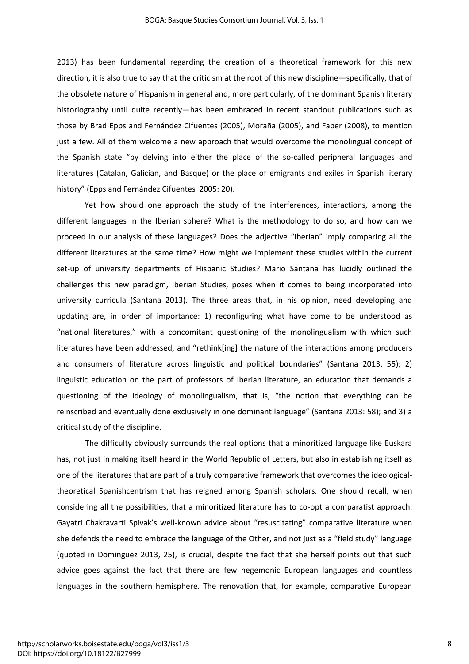2013) has been fundamental regarding the creation of a theoretical framework for this new direction, it is also true to say that the criticism at the root of this new discipline—specifically, that of the obsolete nature of Hispanism in general and, more particularly, of the dominant Spanish literary historiography until quite recently—has been embraced in recent standout publications such as those by Brad Epps and Fernández Cifuentes (2005), Moraña (2005), and Faber (2008), to mention just a few. All of them welcome a new approach that would overcome the monolingual concept of the Spanish state "by delving into either the place of the so-called peripheral languages and literatures (Catalan, Galician, and Basque) or the place of emigrants and exiles in Spanish literary history" (Epps and Fernández Cifuentes 2005: 20).

Yet how should one approach the study of the interferences, interactions, among the different languages in the Iberian sphere? What is the methodology to do so, and how can we proceed in our analysis of these languages? Does the adjective "Iberian" imply comparing all the different literatures at the same time? How might we implement these studies within the current set-up of university departments of Hispanic Studies? Mario Santana has lucidly outlined the challenges this new paradigm, Iberian Studies, poses when it comes to being incorporated into university curricula (Santana 2013). The three areas that, in his opinion, need developing and updating are, in order of importance: 1) reconfiguring what have come to be understood as "national literatures," with a concomitant questioning of the monolingualism with which such literatures have been addressed, and "rethink[ing] the nature of the interactions among producers and consumers of literature across linguistic and political boundaries" (Santana 2013, 55); 2) linguistic education on the part of professors of Iberian literature, an education that demands a questioning of the ideology of monolingualism, that is, "the notion that everything can be reinscribed and eventually done exclusively in one dominant language" (Santana 2013: 58); and 3) a critical study of the discipline.

 The difficulty obviously surrounds the real options that a minoritized language like Euskara has, not just in making itself heard in the World Republic of Letters, but also in establishing itself as one of the literatures that are part of a truly comparative framework that overcomes the ideologicaltheoretical Spanishcentrism that has reigned among Spanish scholars. One should recall, when considering all the possibilities, that a minoritized literature has to co-opt a comparatist approach. Gayatri Chakravarti Spivak's well-known advice about "resuscitating" comparative literature when she defends the need to embrace the language of the Other, and not just as a "field study" language (quoted in Dominguez 2013, 25), is crucial, despite the fact that she herself points out that such advice goes against the fact that there are few hegemonic European languages and countless languages in the southern hemisphere. The renovation that, for example, comparative European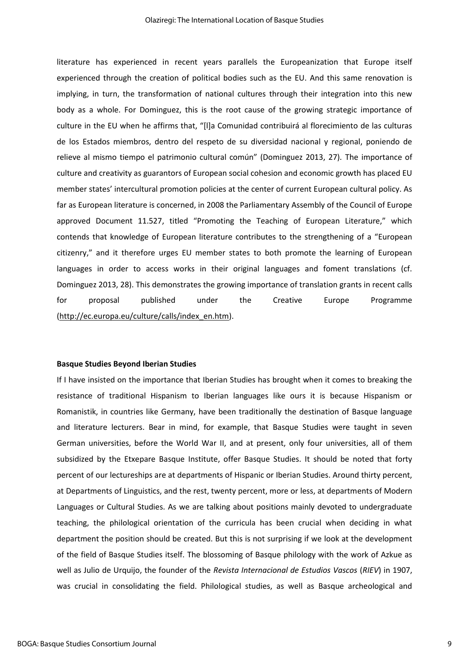literature has experienced in recent years parallels the Europeanization that Europe itself experienced through the creation of political bodies such as the EU. And this same renovation is implying, in turn, the transformation of national cultures through their integration into this new body as a whole. For Dominguez, this is the root cause of the growing strategic importance of culture in the EU when he affirms that, "[l]a Comunidad contribuirá al florecimiento de las culturas de los Estados miembros, dentro del respeto de su diversidad nacional y regional, poniendo de relieve al mismo tiempo el patrimonio cultural común" (Dominguez 2013, 27). The importance of culture and creativity as guarantors of European social cohesion and economic growth has placed EU member states' intercultural promotion policies at the center of current European cultural policy. As far as European literature is concerned, in 2008 the Parliamentary Assembly of the Council of Europe approved Document 11.527, titled "Promoting the Teaching of European Literature," which contends that knowledge of European literature contributes to the strengthening of a "European citizenry," and it therefore urges EU member states to both promote the learning of European languages in order to access works in their original languages and foment translations (cf. Dominguez 2013, 28). This demonstrates the growing importance of translation grants in recent calls for proposal published under the Creative Europe Programme [\(http://ec.europa.eu/culture/calls/index\\_en.htm\)](http://ec.europa.eu/culture/calls/index_en.htm).

#### **Basque Studies Beyond Iberian Studies**

If I have insisted on the importance that Iberian Studies has brought when it comes to breaking the resistance of traditional Hispanism to Iberian languages like ours it is because Hispanism or Romanistik, in countries like Germany, have been traditionally the destination of Basque language and literature lecturers. Bear in mind, for example, that Basque Studies were taught in seven German universities, before the World War II, and at present, only four universities, all of them subsidized by the Etxepare Basque Institute, offer Basque Studies. It should be noted that forty percent of our lectureships are at departments of Hispanic or Iberian Studies. Around thirty percent, at Departments of Linguistics, and the rest, twenty percent, more or less, at departments of Modern Languages or Cultural Studies. As we are talking about positions mainly devoted to undergraduate teaching, the philological orientation of the curricula has been crucial when deciding in what department the position should be created. But this is not surprising if we look at the development of the field of Basque Studies itself. The blossoming of Basque philology with the work of Azkue as well as Julio de Urquijo, the founder of the *Revista Internacional de Estudios Vascos* (*RIEV*) in 1907, was crucial in consolidating the field. Philological studies, as well as Basque archeological and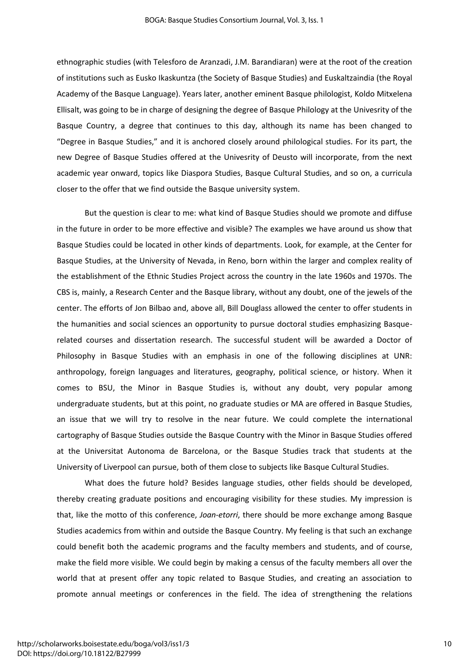ethnographic studies (with Telesforo de Aranzadi, J.M. Barandiaran) were at the root of the creation of institutions such as Eusko Ikaskuntza (the Society of Basque Studies) and Euskaltzaindia (the Royal Academy of the Basque Language). Years later, another eminent Basque philologist, Koldo Mitxelena Ellisalt, was going to be in charge of designing the degree of Basque Philology at the Univesrity of the Basque Country, a degree that continues to this day, although its name has been changed to "Degree in Basque Studies," and it is anchored closely around philological studies. For its part, the new Degree of Basque Studies offered at the Univesrity of Deusto will incorporate, from the next academic year onward, topics like Diaspora Studies, Basque Cultural Studies, and so on, a curricula closer to the offer that we find outside the Basque university system.

But the question is clear to me: what kind of Basque Studies should we promote and diffuse in the future in order to be more effective and visible? The examples we have around us show that Basque Studies could be located in other kinds of departments. Look, for example, at the Center for Basque Studies, at the University of Nevada, in Reno, born within the larger and complex reality of the establishment of the Ethnic Studies Project across the country in the late 1960s and 1970s. The CBS is, mainly, a Research Center and the Basque library, without any doubt, one of the jewels of the center. The efforts of Jon Bilbao and, above all, Bill Douglass allowed the center to offer students in the humanities and social sciences an opportunity to pursue doctoral studies emphasizing Basquerelated courses and dissertation research. The successful student will be awarded a Doctor of Philosophy in Basque Studies with an emphasis in one of the following disciplines at UNR: anthropology, foreign languages and literatures, geography, political science, or history. When it comes to BSU, the Minor in Basque Studies is, without any doubt, very popular among undergraduate students, but at this point, no graduate studies or MA are offered in Basque Studies, an issue that we will try to resolve in the near future. We could complete the international cartography of Basque Studies outside the Basque Country with the Minor in Basque Studies offered at the Universitat Autonoma de Barcelona, or the Basque Studies track that students at the University of Liverpool can pursue, both of them close to subjects like Basque Cultural Studies.

What does the future hold? Besides language studies, other fields should be developed, thereby creating graduate positions and encouraging visibility for these studies. My impression is that, like the motto of this conference, *Joan-etorri*, there should be more exchange among Basque Studies academics from within and outside the Basque Country. My feeling is that such an exchange could benefit both the academic programs and the faculty members and students, and of course, make the field more visible. We could begin by making a census of the faculty members all over the world that at present offer any topic related to Basque Studies, and creating an association to promote annual meetings or conferences in the field. The idea of strengthening the relations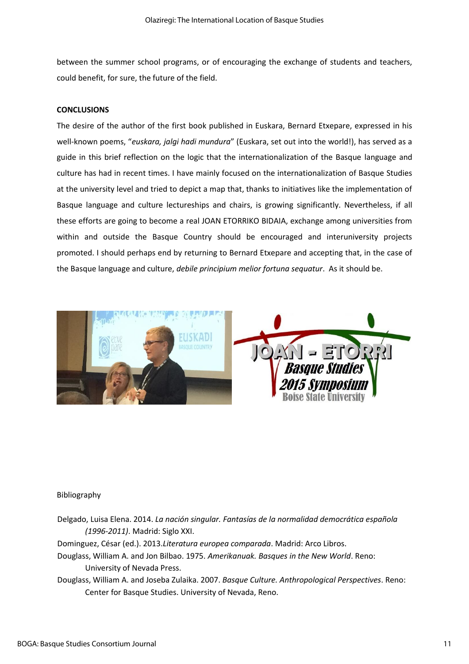between the summer school programs, or of encouraging the exchange of students and teachers, could benefit, for sure, the future of the field.

### **CONCLUSIONS**

The desire of the author of the first book published in Euskara, Bernard Etxepare, expressed in his well-known poems, "*euskara, jalgi hadi mundura*" (Euskara, set out into the world!), has served as a guide in this brief reflection on the logic that the internationalization of the Basque language and culture has had in recent times. I have mainly focused on the internationalization of Basque Studies at the university level and tried to depict a map that, thanks to initiatives like the implementation of Basque language and culture lectureships and chairs, is growing significantly. Nevertheless, if all these efforts are going to become a real JOAN ETORRIKO BIDAIA, exchange among universities from within and outside the Basque Country should be encouraged and interuniversity projects promoted. I should perhaps end by returning to Bernard Etxepare and accepting that, in the case of the Basque language and culture, *debile principium melior fortuna sequatur*. As it should be.



#### Bibliography

- Delgado, Luisa Elena. 2014. *La nación singular. Fantasías de la normalidad democrática española (1996-2011)*. Madrid: Siglo XXI.
- Dominguez, César (ed.). 2013.*Literatura europea comparada*. Madrid: Arco Libros.
- Douglass, William A. and Jon Bilbao. 1975. *Amerikanuak. Basques in the New World*. Reno: University of Nevada Press.
- Douglass, William A. and Joseba Zulaika. 2007. *Basque Culture. Anthropological Perspectives*. Reno: Center for Basque Studies. University of Nevada, Reno.